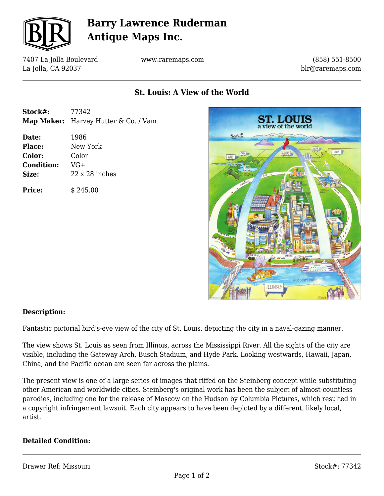

## **Barry Lawrence Ruderman Antique Maps Inc.**

7407 La Jolla Boulevard La Jolla, CA 92037

www.raremaps.com

(858) 551-8500 blr@raremaps.com

## **St. Louis: A View of the World**

| Stock#: | 77342                                |
|---------|--------------------------------------|
|         | Map Maker: Harvey Hutter & Co. / Vam |

**Date:** 1986 **Place:** New York **Color:** Color **Condition:** VG+ **Size:** 22 x 28 inches

**Price:**  $\qquad$  \$ 245.00



#### **Description:**

Fantastic pictorial bird's-eye view of the city of St. Louis, depicting the city in a naval-gazing manner.

The view shows St. Louis as seen from Illinois, across the Mississippi River. All the sights of the city are visible, including the Gateway Arch, Busch Stadium, and Hyde Park. Looking westwards, Hawaii, Japan, China, and the Pacific ocean are seen far across the plains.

The present view is one of a large series of images that riffed on the Steinberg concept while substituting other American and worldwide cities. Steinberg's original work has been the subject of almost-countless parodies, including one for the release of Moscow on the Hudson by Columbia Pictures, which resulted in a copyright infringement lawsuit. Each city appears to have been depicted by a different, likely local, artist.

#### **Detailed Condition:**